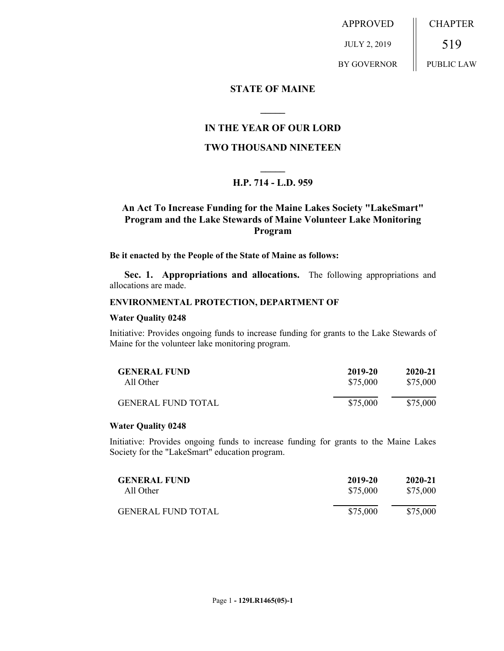APPROVED JULY 2, 2019 BY GOVERNOR CHAPTER 519 PUBLIC LAW

### **STATE OF MAINE**

# **IN THE YEAR OF OUR LORD**

**\_\_\_\_\_**

## **TWO THOUSAND NINETEEN**

# **\_\_\_\_\_ H.P. 714 - L.D. 959**

# **An Act To Increase Funding for the Maine Lakes Society "LakeSmart" Program and the Lake Stewards of Maine Volunteer Lake Monitoring Program**

#### **Be it enacted by the People of the State of Maine as follows:**

**Sec. 1. Appropriations and allocations.** The following appropriations and allocations are made.

#### **ENVIRONMENTAL PROTECTION, DEPARTMENT OF**

#### **Water Quality 0248**

Initiative: Provides ongoing funds to increase funding for grants to the Lake Stewards of Maine for the volunteer lake monitoring program.

| <b>GENERAL FUND</b>       | 2019-20  | 2020-21  |
|---------------------------|----------|----------|
| All Other                 | \$75,000 | \$75,000 |
| <b>GENERAL FUND TOTAL</b> | \$75,000 | \$75,000 |

#### **Water Quality 0248**

Initiative: Provides ongoing funds to increase funding for grants to the Maine Lakes Society for the "LakeSmart" education program.

| <b>GENERAL FUND</b>       | 2019-20  | 2020-21  |
|---------------------------|----------|----------|
| All Other                 | \$75,000 | \$75,000 |
| <b>GENERAL FUND TOTAL</b> | \$75,000 | \$75,000 |